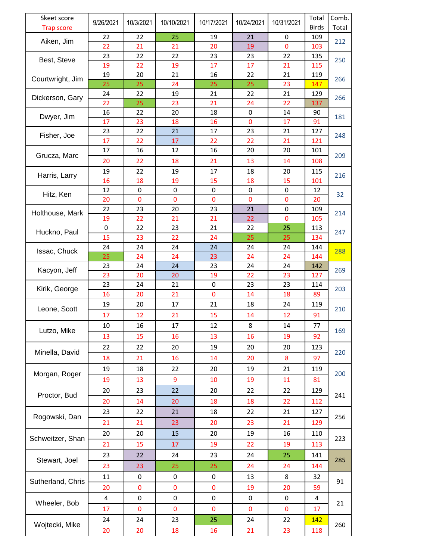| Skeet score                   | 9/26/2021 | 10/3/2021 | 10/10/2021   | 10/17/2021               | 10/24/2021  | 10/31/2021  | Total        | Comb.      |
|-------------------------------|-----------|-----------|--------------|--------------------------|-------------|-------------|--------------|------------|
| Trap score                    |           |           |              |                          |             |             | <b>Birds</b> | Total      |
| Aiken, Jim                    | 22        | 22        | 25           | 19                       | 21          | 0           | 109          | 212        |
|                               | 22        | 21        | 21           | 20                       | 19          | $\mathbf 0$ | 103          |            |
| Best, Steve                   | 23        | 22        | 22           | 23                       | 23          | 22          | 135          | 250        |
|                               | 19        | 22        | 19           | 17                       | 17          | 21          | 115          |            |
| Courtwright, Jim              | 19        | 20        | 21           | 16                       | 22          | 21          | 119          | 266        |
|                               | 25        | 25        | 24           | 25                       | 25          | 23          | 147          |            |
| Dickerson, Gary               | 24        | 22        | 19           | 21                       | 22          | 21          | 129          | 266        |
|                               | 22        | 25        | 23           | 21                       | 24          | 22          | 137          |            |
| Dwyer, Jim                    | 16        | 22        | 20           | 18                       | 0           | 14          | 90           | 181        |
| Fisher, Joe                   | 17        | 23        | 18           | 16                       | $\mathbf 0$ | 17          | 91           | 248        |
|                               | 23        | 22        | 21           | 17                       | 23          | 21          | 127          |            |
|                               | 17        | 22        | 17           | 22                       | 22          | 21          | 121          |            |
| Grucza, Marc                  | 17        | 16        | 12           | 16                       | 20          | 20          | 101          | 209        |
|                               | 20        | 22        | 18           | 21                       | 13          | 14          | 108          |            |
| Harris, Larry                 | 19        | 22        | 19           | 17                       | 18          | 20          | 115          | 216<br>32  |
|                               | 16        | 18        | 19           | 15                       | 18          | 15          | 101          |            |
| Hitz, Ken                     | 12        | 0         | 0            | 0                        | $\pmb{0}$   | $\pmb{0}$   | 12           |            |
|                               | 20        | 0         | $\mathbf 0$  | $\mathbf 0$              | $\mathbf 0$ | $\pmb{0}$   | 20           |            |
| Holthouse, Mark               | 22        | 23        | 20           | 23                       | 21          | $\pmb{0}$   | 109          | 214        |
|                               | 19        | 22        | 21           | 21                       | 22          | 0           | 105          |            |
| Huckno, Paul                  | 0         | 22        | 23           | 21                       | 22          | 25          | 113          | 247        |
|                               | 15        | 23        | 22           | 24                       | 25          | 25          | 134          |            |
| Issac, Chuck                  | 24        | 24        | 24           | 24                       | 24          | 24          | 144          | 288        |
|                               | 25        | 24        | 24           | 23                       | 24          | 24          | 144          |            |
| Kacyon, Jeff                  | 23        | 24        | 24           | 23                       | 24          | 24          | 142          | 269        |
| Kirik, George                 | 23        | 20        | 20           | 19                       | 22          | 23          | 127          | 203        |
|                               | 23<br>16  | 24        | 21           | $\pmb{0}$<br>$\mathbf 0$ | 23          | 23          | 114          |            |
| Leone, Scott                  |           | 20        | 21           |                          | 14          | 18          | 89           | 210        |
|                               | 19        | 20        | 17           | 21                       | 18          | 24          | 119          |            |
|                               | 17        | 12        | 21           | 15                       | 14          | 12          | 91           |            |
| Lutzo, Mike                   | 10        | 16        | 17           | 12                       | 8           | 14          | 77           | 169        |
|                               | 13        | 15        | 16           | 13                       | 16          | 19          | 92           |            |
| Minella, David                | 22        | 22        | 20           | 19                       | 20          | 20          | 123          | 220        |
|                               | 18        | 21        | 16           | 14                       | 20          | $\bf 8$     | 97           |            |
| Morgan, Roger<br>Proctor, Bud | 19        | 18        | 22           | 20                       | 19          | 21          | 119          | 200<br>241 |
|                               | 19        | 13        | 9            | 10                       | 19          | 11          | 81           |            |
|                               | 20        | 23        | 22           | 20                       | 22          | 22          | 129          |            |
|                               | 20        | 14        | 20           | 18                       | 18          | 22          | 112          |            |
|                               |           |           |              |                          |             |             |              |            |
| Rogowski, Dan                 | 23        | 22        | 21           | 18                       | 22          | 21          | 127          | 256        |
|                               | 21        | 21        | 23           | 20                       | 23          | 21          | 129          |            |
| Schweitzer, Shan              | 20        | 20        | 15           | 20                       | 19          | 16          | 110          | 223        |
|                               | 21        | 15        | 17           | 19                       | 22          | 19          | 113          |            |
| Stewart, Joel                 | 23        | 22        | 24           | 23                       | 24          | 25          | 141          | 285        |
|                               | 23        | 23        | 25           | 25                       | 24          | 24          | 144          |            |
| Sutherland, Chris             | 11        | 0         | 0            | 0                        | 13          | 8           | 32           | 91         |
|                               | 20        | 0         | $\mathbf{0}$ | 0                        | 19          | 20          | 59           |            |
| Wheeler, Bob                  | 4         | 0         | 0            | $\pmb{0}$                | 0           | $\pmb{0}$   | 4            | 21         |
|                               |           |           |              |                          |             |             |              |            |
|                               | 17        | 0         | $\pmb{0}$    | $\mathbf 0$              | $\pmb{0}$   | $\pmb{0}$   | 17           |            |
| Wojtecki, Mike                | 24        | 24        | 23           | 25                       | 24          | 22          | <u>142</u>   | 260        |
|                               | 20        | 20        | 18           | 16                       | 21          | 23          | 118          |            |